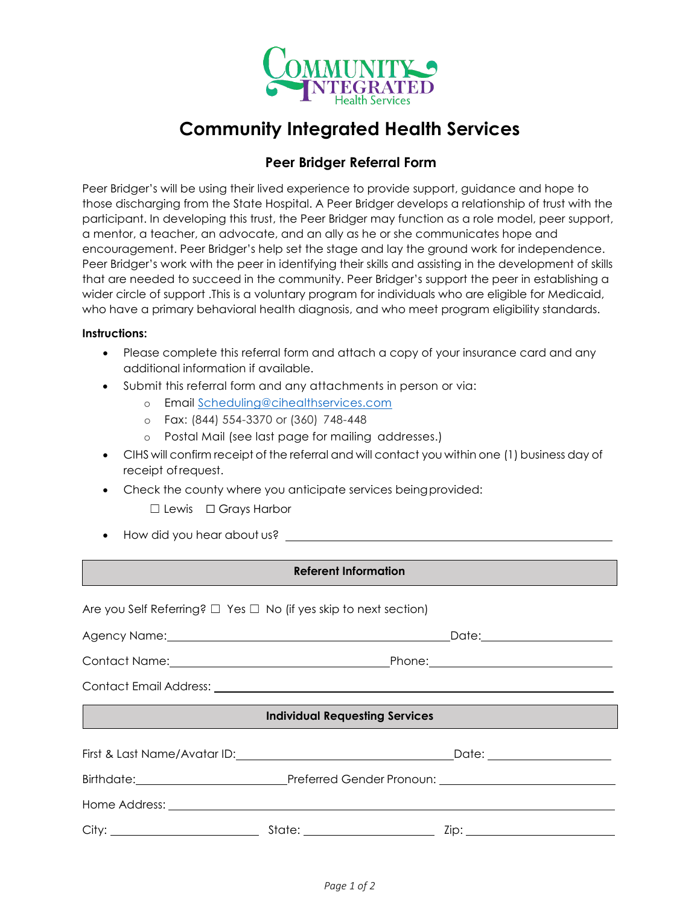

# **Community Integrated Health Services**

## **Peer Bridger Referral Form**

Peer Bridger's will be using their lived experience to provide support, guidance and hope to those discharging from the State Hospital. A Peer Bridger develops a relationship of trust with the participant. In developing this trust, the Peer Bridger may function as a role model, peer support, a mentor, a teacher, an advocate, and an ally as he or she communicates hope and encouragement. Peer Bridger's help set the stage and lay the ground work for independence. Peer Bridger's work with the peer in identifying their skills and assisting in the development of skills that are needed to succeed in the community. Peer Bridger's support the peer in establishing a wider circle of support .This is a voluntary program for individuals who are eligible for Medicaid, who have a primary behavioral health diagnosis, and who meet program eligibility standards.

#### **Instructions:**

- Please complete this referral form and attach a copy of your insurance card and any additional information if available.
- Submit this referral form and any attachments in person or via:
	- o Email [Scheduling@cihealthservices.com](mailto:Scheduling@cihealthservices.com)
	- o Fax: (844) 554-3370 or (360) 748-448
	- o Postal Mail (see last page for mailing addresses.)
- CIHS will confirm receipt of the referral and will contact you within one (1) business day of receipt ofrequest.
- Check the county where you anticipate services being provided:
	- ☐ Lewis ☐ Grays Harbor
- How did you hear about us?

### **Referent Information**

| Are you Self Referring? $\Box$ Yes $\Box$ No (if yes skip to next section) |                                       |  |
|----------------------------------------------------------------------------|---------------------------------------|--|
|                                                                            |                                       |  |
| Contact Name: Contact Name: Contact Name: Contact Name: Contact Name:      |                                       |  |
|                                                                            |                                       |  |
|                                                                            | <b>Individual Requesting Services</b> |  |
|                                                                            |                                       |  |
|                                                                            |                                       |  |
|                                                                            |                                       |  |
|                                                                            |                                       |  |